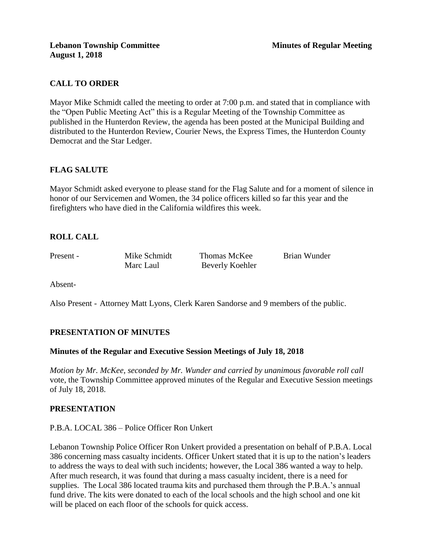## **CALL TO ORDER**

Mayor Mike Schmidt called the meeting to order at 7:00 p.m. and stated that in compliance with the "Open Public Meeting Act" this is a Regular Meeting of the Township Committee as published in the Hunterdon Review, the agenda has been posted at the Municipal Building and distributed to the Hunterdon Review, Courier News, the Express Times, the Hunterdon County Democrat and the Star Ledger.

## **FLAG SALUTE**

Mayor Schmidt asked everyone to please stand for the Flag Salute and for a moment of silence in honor of our Servicemen and Women, the 34 police officers killed so far this year and the firefighters who have died in the California wildfires this week.

## **ROLL CALL**

Present - Mike Schmidt Thomas McKee Brian Wunder

Marc Laul Beverly Koehler

Absent-

Also Present - Attorney Matt Lyons, Clerk Karen Sandorse and 9 members of the public.

# **PRESENTATION OF MINUTES**

## **Minutes of the Regular and Executive Session Meetings of July 18, 2018**

*Motion by Mr. McKee, seconded by Mr. Wunder and carried by unanimous favorable roll call*  vote, the Township Committee approved minutes of the Regular and Executive Session meetings of July 18, 2018.

#### **PRESENTATION**

P.B.A. LOCAL 386 – Police Officer Ron Unkert

Lebanon Township Police Officer Ron Unkert provided a presentation on behalf of P.B.A. Local 386 concerning mass casualty incidents. Officer Unkert stated that it is up to the nation's leaders to address the ways to deal with such incidents; however, the Local 386 wanted a way to help. After much research, it was found that during a mass casualty incident, there is a need for supplies. The Local 386 located trauma kits and purchased them through the P.B.A.'s annual fund drive. The kits were donated to each of the local schools and the high school and one kit will be placed on each floor of the schools for quick access.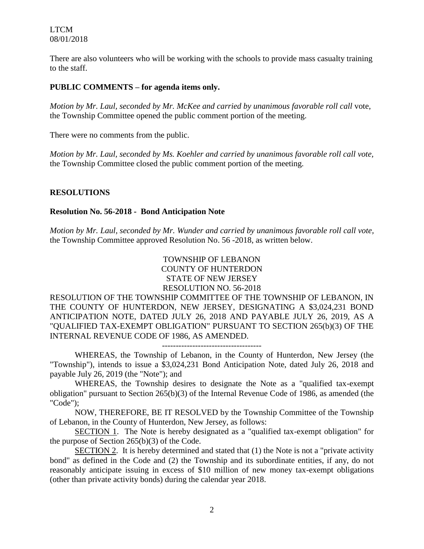There are also volunteers who will be working with the schools to provide mass casualty training to the staff.

#### **PUBLIC COMMENTS – for agenda items only.**

*Motion by Mr. Laul, seconded by Mr. McKee and carried by unanimous favorable roll call* vote, the Township Committee opened the public comment portion of the meeting.

There were no comments from the public.

*Motion by Mr. Laul, seconded by Ms. Koehler and carried by unanimous favorable roll call vote,* the Township Committee closed the public comment portion of the meeting.

#### **RESOLUTIONS**

#### **Resolution No. 56-2018 - Bond Anticipation Note**

*Motion by Mr. Laul, seconded by Mr. Wunder and carried by unanimous favorable roll call vote,* the Township Committee approved Resolution No. 56 -2018, as written below.

> TOWNSHIP OF LEBANON COUNTY OF HUNTERDON STATE OF NEW JERSEY RESOLUTION NO. 56-2018

RESOLUTION OF THE TOWNSHIP COMMITTEE OF THE TOWNSHIP OF LEBANON, IN THE COUNTY OF HUNTERDON, NEW JERSEY, DESIGNATING A \$3,024,231 BOND ANTICIPATION NOTE, DATED JULY 26, 2018 AND PAYABLE JULY 26, 2019, AS A "QUALIFIED TAX-EXEMPT OBLIGATION" PURSUANT TO SECTION 265(b)(3) OF THE INTERNAL REVENUE CODE OF 1986, AS AMENDED.

------------------------------------

WHEREAS, the Township of Lebanon, in the County of Hunterdon, New Jersey (the "Township"), intends to issue a \$3,024,231 Bond Anticipation Note, dated July 26, 2018 and payable July 26, 2019 (the "Note"); and

WHEREAS, the Township desires to designate the Note as a "qualified tax-exempt obligation" pursuant to Section 265(b)(3) of the Internal Revenue Code of 1986, as amended (the "Code");

NOW, THEREFORE, BE IT RESOLVED by the Township Committee of the Township of Lebanon, in the County of Hunterdon, New Jersey, as follows:

SECTION 1. The Note is hereby designated as a "qualified tax-exempt obligation" for the purpose of Section 265(b)(3) of the Code.

SECTION 2. It is hereby determined and stated that (1) the Note is not a "private activity bond" as defined in the Code and (2) the Township and its subordinate entities, if any, do not reasonably anticipate issuing in excess of \$10 million of new money tax-exempt obligations (other than private activity bonds) during the calendar year 2018.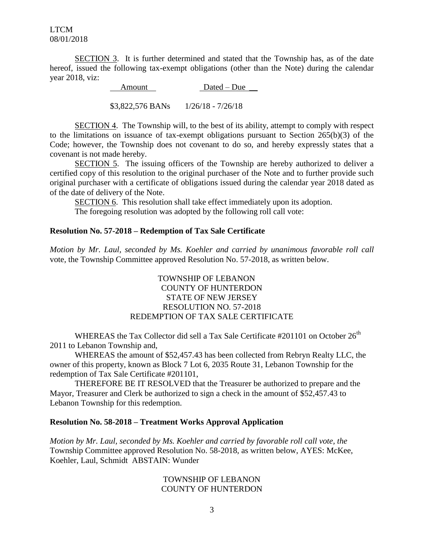SECTION 3. It is further determined and stated that the Township has, as of the date hereof, issued the following tax-exempt obligations (other than the Note) during the calendar year 2018, viz:

> Amount Dated – Due \$3,822,576 BANs 1/26/18 - 7/26/18

SECTION 4. The Township will, to the best of its ability, attempt to comply with respect to the limitations on issuance of tax-exempt obligations pursuant to Section 265(b)(3) of the Code; however, the Township does not covenant to do so, and hereby expressly states that a covenant is not made hereby.

SECTION 5. The issuing officers of the Township are hereby authorized to deliver a certified copy of this resolution to the original purchaser of the Note and to further provide such original purchaser with a certificate of obligations issued during the calendar year 2018 dated as of the date of delivery of the Note.

SECTION 6. This resolution shall take effect immediately upon its adoption. The foregoing resolution was adopted by the following roll call vote:

#### **Resolution No. 57-2018 – Redemption of Tax Sale Certificate**

*Motion by Mr. Laul, seconded by Ms. Koehler and carried by unanimous favorable roll call*  vote, the Township Committee approved Resolution No. 57-2018, as written below.

#### TOWNSHIP OF LEBANON COUNTY OF HUNTERDON STATE OF NEW JERSEY RESOLUTION NO. 57-2018 REDEMPTION OF TAX SALE CERTIFICATE

WHEREAS the Tax Collector did sell a Tax Sale Certificate #201101 on October  $26<sup>th</sup>$ 2011 to Lebanon Township and,

WHEREAS the amount of \$52,457.43 has been collected from Rebryn Realty LLC, the owner of this property, known as Block 7 Lot 6, 2035 Route 31, Lebanon Township for the redemption of Tax Sale Certificate #201101,

THEREFORE BE IT RESOLVED that the Treasurer be authorized to prepare and the Mayor, Treasurer and Clerk be authorized to sign a check in the amount of \$52,457.43 to Lebanon Township for this redemption.

#### **Resolution No. 58-2018 – Treatment Works Approval Application**

*Motion by Mr. Laul, seconded by Ms. Koehler and carried by favorable roll call vote, the* Township Committee approved Resolution No. 58-2018, as written below, AYES: McKee, Koehler, Laul, Schmidt ABSTAIN: Wunder

#### TOWNSHIP OF LEBANON COUNTY OF HUNTERDON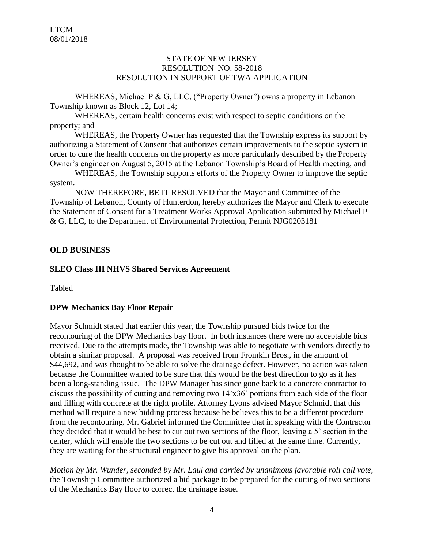#### STATE OF NEW JERSEY RESOLUTION NO. 58-2018 RESOLUTION IN SUPPORT OF TWA APPLICATION

WHEREAS, Michael P & G, LLC, ("Property Owner") owns a property in Lebanon Township known as Block 12, Lot 14;

WHEREAS, certain health concerns exist with respect to septic conditions on the property; and

WHEREAS, the Property Owner has requested that the Township express its support by authorizing a Statement of Consent that authorizes certain improvements to the septic system in order to cure the health concerns on the property as more particularly described by the Property Owner's engineer on August 5, 2015 at the Lebanon Township's Board of Health meeting, and

WHEREAS, the Township supports efforts of the Property Owner to improve the septic system.

NOW THEREFORE, BE IT RESOLVED that the Mayor and Committee of the Township of Lebanon, County of Hunterdon, hereby authorizes the Mayor and Clerk to execute the Statement of Consent for a Treatment Works Approval Application submitted by Michael P & G, LLC, to the Department of Environmental Protection, Permit NJG0203181

#### **OLD BUSINESS**

#### **SLEO Class III NHVS Shared Services Agreement**

Tabled

#### **DPW Mechanics Bay Floor Repair**

Mayor Schmidt stated that earlier this year, the Township pursued bids twice for the recontouring of the DPW Mechanics bay floor. In both instances there were no acceptable bids received. Due to the attempts made, the Township was able to negotiate with vendors directly to obtain a similar proposal. A proposal was received from Fromkin Bros., in the amount of \$44,692, and was thought to be able to solve the drainage defect. However, no action was taken because the Committee wanted to be sure that this would be the best direction to go as it has been a long-standing issue. The DPW Manager has since gone back to a concrete contractor to discuss the possibility of cutting and removing two 14'x36' portions from each side of the floor and filling with concrete at the right profile. Attorney Lyons advised Mayor Schmidt that this method will require a new bidding process because he believes this to be a different procedure from the recontouring. Mr. Gabriel informed the Committee that in speaking with the Contractor they decided that it would be best to cut out two sections of the floor, leaving a 5' section in the center, which will enable the two sections to be cut out and filled at the same time. Currently, they are waiting for the structural engineer to give his approval on the plan.

*Motion by Mr. Wunder, seconded by Mr. Laul and carried by unanimous favorable roll call vote,* the Township Committee authorized a bid package to be prepared for the cutting of two sections of the Mechanics Bay floor to correct the drainage issue.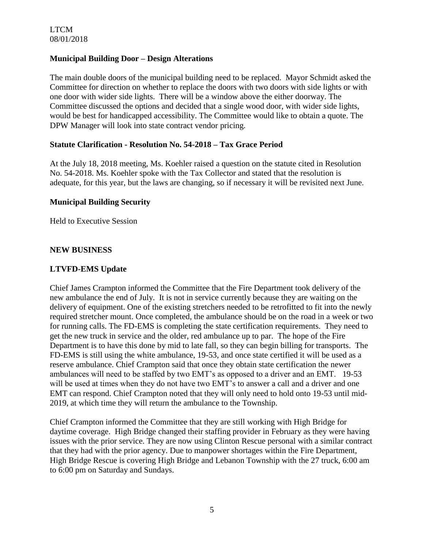## **Municipal Building Door – Design Alterations**

The main double doors of the municipal building need to be replaced. Mayor Schmidt asked the Committee for direction on whether to replace the doors with two doors with side lights or with one door with wider side lights. There will be a window above the either doorway. The Committee discussed the options and decided that a single wood door, with wider side lights, would be best for handicapped accessibility. The Committee would like to obtain a quote. The DPW Manager will look into state contract vendor pricing.

## **Statute Clarification - Resolution No. 54-2018 – Tax Grace Period**

At the July 18, 2018 meeting, Ms. Koehler raised a question on the statute cited in Resolution No. 54-2018. Ms. Koehler spoke with the Tax Collector and stated that the resolution is adequate, for this year, but the laws are changing, so if necessary it will be revisited next June.

## **Municipal Building Security**

Held to Executive Session

## **NEW BUSINESS**

## **LTVFD-EMS Update**

Chief James Crampton informed the Committee that the Fire Department took delivery of the new ambulance the end of July. It is not in service currently because they are waiting on the delivery of equipment. One of the existing stretchers needed to be retrofitted to fit into the newly required stretcher mount. Once completed, the ambulance should be on the road in a week or two for running calls. The FD-EMS is completing the state certification requirements. They need to get the new truck in service and the older, red ambulance up to par. The hope of the Fire Department is to have this done by mid to late fall, so they can begin billing for transports. The FD-EMS is still using the white ambulance, 19-53, and once state certified it will be used as a reserve ambulance. Chief Crampton said that once they obtain state certification the newer ambulances will need to be staffed by two EMT's as opposed to a driver and an EMT. 19-53 will be used at times when they do not have two EMT's to answer a call and a driver and one EMT can respond. Chief Crampton noted that they will only need to hold onto 19-53 until mid-2019, at which time they will return the ambulance to the Township.

Chief Crampton informed the Committee that they are still working with High Bridge for daytime coverage. High Bridge changed their staffing provider in February as they were having issues with the prior service. They are now using Clinton Rescue personal with a similar contract that they had with the prior agency. Due to manpower shortages within the Fire Department, High Bridge Rescue is covering High Bridge and Lebanon Township with the 27 truck, 6:00 am to 6:00 pm on Saturday and Sundays.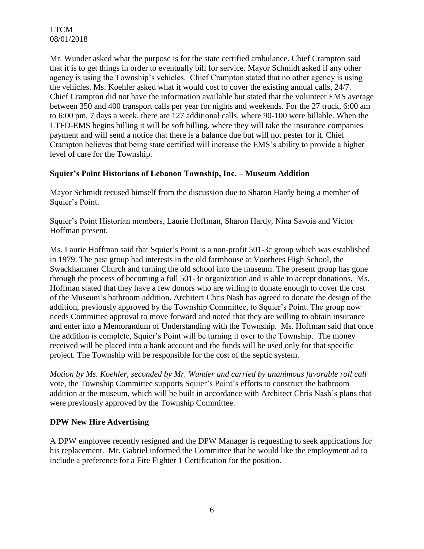Mr. Wunder asked what the purpose is for the state certified ambulance. Chief Crampton said that it is to get things in order to eventually bill for service. Mayor Schmidt asked if any other agency is using the Township's vehicles. Chief Crampton stated that no other agency is using the vehicles. Ms. Koehler asked what it would cost to cover the existing annual calls, 24/7. Chief Crampton did not have the information available but stated that the volunteer EMS average between 350 and 400 transport calls per year for nights and weekends. For the 27 truck, 6:00 am to 6:00 pm, 7 days a week, there are 127 additional calls, where 90-100 were billable. When the LTFD-EMS begins billing it will be soft billing, where they will take the insurance companies payment and will send a notice that there is a balance due but will not pester for it. Chief Crampton believes that being state certified will increase the EMS's ability to provide a higher level of care for the Township.

## **Squier's Point Historians of Lebanon Township, Inc. – Museum Addition**

Mayor Schmidt recused himself from the discussion due to Sharon Hardy being a member of Squier's Point.

Squier's Point Historian members, Laurie Hoffman, Sharon Hardy, Nina Savoia and Victor Hoffman present.

Ms. Laurie Hoffman said that Squier's Point is a non-profit 501-3c group which was established in 1979. The past group had interests in the old farmhouse at Voorhees High School, the Swackhammer Church and turning the old school into the museum. The present group has gone through the process of becoming a full 501-3c organization and is able to accept donations. Ms. Hoffman stated that they have a few donors who are willing to donate enough to cover the cost of the Museum's bathroom addition. Architect Chris Nash has agreed to donate the design of the addition, previously approved by the Township Committee, to Squier's Point. The group now needs Committee approval to move forward and noted that they are willing to obtain insurance and enter into a Memorandum of Understanding with the Township. Ms. Hoffman said that once the addition is complete, Squier's Point will be turning it over to the Township. The money received will be placed into a bank account and the funds will be used only for that specific project. The Township will be responsible for the cost of the septic system.

*Motion by Ms. Koehler, seconded by Mr. Wunder and carried by unanimous favorable roll call*  vote, the Township Committee supports Squier's Point's efforts to construct the bathroom addition at the museum, which will be built in accordance with Architect Chris Nash's plans that were previously approved by the Township Committee.

## **DPW New Hire Advertising**

A DPW employee recently resigned and the DPW Manager is requesting to seek applications for his replacement. Mr. Gabriel informed the Committee that he would like the employment ad to include a preference for a Fire Fighter 1 Certification for the position.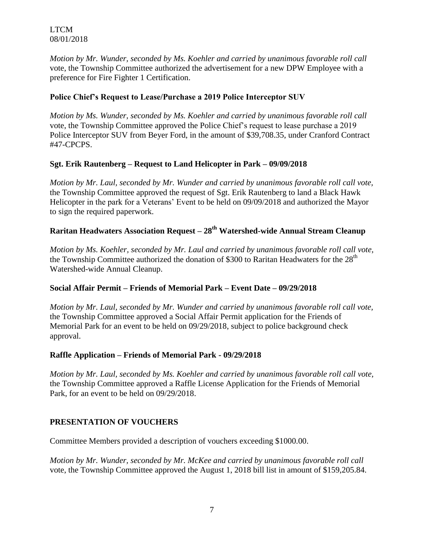*Motion by Mr. Wunder, seconded by Ms. Koehler and carried by unanimous favorable roll call*  vote, the Township Committee authorized the advertisement for a new DPW Employee with a preference for Fire Fighter 1 Certification.

## **Police Chief's Request to Lease/Purchase a 2019 Police Interceptor SUV**

*Motion by Ms. Wunder, seconded by Ms. Koehler and carried by unanimous favorable roll call*  vote, the Township Committee approved the Police Chief's request to lease purchase a 2019 Police Interceptor SUV from Beyer Ford, in the amount of \$39,708.35, under Cranford Contract #47-CPCPS.

## **Sgt. Erik Rautenberg – Request to Land Helicopter in Park – 09/09/2018**

*Motion by Mr. Laul, seconded by Mr. Wunder and carried by unanimous favorable roll call vote,*  the Township Committee approved the request of Sgt. Erik Rautenberg to land a Black Hawk Helicopter in the park for a Veterans' Event to be held on 09/09/2018 and authorized the Mayor to sign the required paperwork.

# **Raritan Headwaters Association Request – 28th Watershed-wide Annual Stream Cleanup**

*Motion by Ms. Koehler, seconded by Mr. Laul and carried by unanimous favorable roll call vote,*  the Township Committee authorized the donation of \$300 to Raritan Headwaters for the  $28<sup>th</sup>$ Watershed-wide Annual Cleanup.

# **Social Affair Permit – Friends of Memorial Park – Event Date – 09/29/2018**

*Motion by Mr. Laul, seconded by Mr. Wunder and carried by unanimous favorable roll call vote,*  the Township Committee approved a Social Affair Permit application for the Friends of Memorial Park for an event to be held on 09/29/2018, subject to police background check approval.

## **Raffle Application – Friends of Memorial Park - 09/29/2018**

*Motion by Mr. Laul, seconded by Ms. Koehler and carried by unanimous favorable roll call vote,*  the Township Committee approved a Raffle License Application for the Friends of Memorial Park, for an event to be held on 09/29/2018.

# **PRESENTATION OF VOUCHERS**

Committee Members provided a description of vouchers exceeding \$1000.00.

*Motion by Mr. Wunder, seconded by Mr. McKee and carried by unanimous favorable roll call*  vote, the Township Committee approved the August 1, 2018 bill list in amount of \$159,205.84.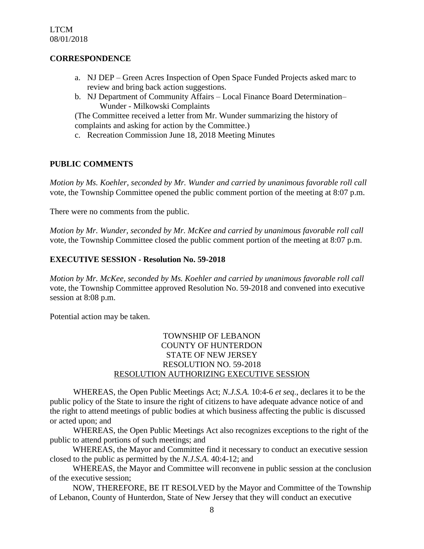#### **CORRESPONDENCE**

- a. NJ DEP Green Acres Inspection of Open Space Funded Projects asked marc to review and bring back action suggestions.
- b. NJ Department of Community Affairs Local Finance Board Determination– Wunder - Milkowski Complaints

(The Committee received a letter from Mr. Wunder summarizing the history of complaints and asking for action by the Committee.)

c. Recreation Commission June 18, 2018 Meeting Minutes

## **PUBLIC COMMENTS**

*Motion by Ms. Koehler, seconded by Mr. Wunder and carried by unanimous favorable roll call*  vote, the Township Committee opened the public comment portion of the meeting at 8:07 p.m.

There were no comments from the public.

*Motion by Mr. Wunder, seconded by Mr. McKee and carried by unanimous favorable roll call*  vote*,* the Township Committee closed the public comment portion of the meeting at 8:07 p.m.

## **EXECUTIVE SESSION - Resolution No. 59-2018**

*Motion by Mr. McKee, seconded by Ms. Koehler and carried by unanimous favorable roll call*  vote, the Township Committee approved Resolution No. 59-2018 and convened into executive session at 8:08 p.m.

Potential action may be taken.

## TOWNSHIP OF LEBANON COUNTY OF HUNTERDON STATE OF NEW JERSEY RESOLUTION NO. 59-2018 RESOLUTION AUTHORIZING EXECUTIVE SESSION

WHEREAS, the Open Public Meetings Act; *N.J.S.A.* 10:4-6 *et seq*., declares it to be the public policy of the State to insure the right of citizens to have adequate advance notice of and the right to attend meetings of public bodies at which business affecting the public is discussed or acted upon; and

WHEREAS, the Open Public Meetings Act also recognizes exceptions to the right of the public to attend portions of such meetings; and

 WHEREAS, the Mayor and Committee find it necessary to conduct an executive session closed to the public as permitted by the *N.J.S.A*. 40:4-12; and

 WHEREAS, the Mayor and Committee will reconvene in public session at the conclusion of the executive session;

 NOW, THEREFORE, BE IT RESOLVED by the Mayor and Committee of the Township of Lebanon, County of Hunterdon, State of New Jersey that they will conduct an executive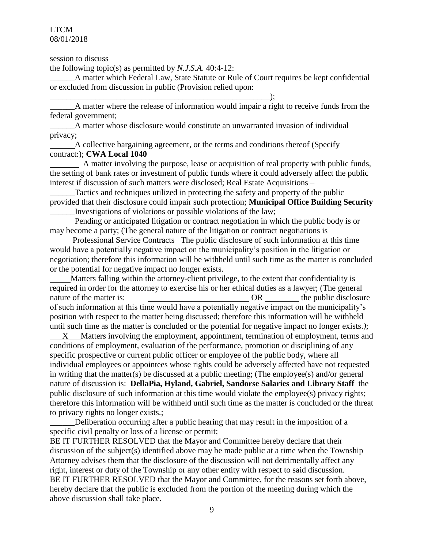session to discuss

the following topic(s) as permitted by *N.J.S.A*. 40:4-12:

\_\_\_\_\_\_\_\_\_\_\_\_\_\_\_\_\_\_\_\_\_\_\_\_\_\_\_\_\_\_\_\_\_\_\_\_\_\_\_\_\_\_\_\_\_\_\_\_\_\_\_\_\_);

A matter which Federal Law, State Statute or Rule of Court requires be kept confidential or excluded from discussion in public (Provision relied upon:

\_\_\_\_\_\_A matter where the release of information would impair a right to receive funds from the federal government;

\_\_\_\_\_\_A matter whose disclosure would constitute an unwarranted invasion of individual privacy;

 A collective bargaining agreement, or the terms and conditions thereof (Specify contract:); **CWA Local 1040**

 A matter involving the purpose, lease or acquisition of real property with public funds, the setting of bank rates or investment of public funds where it could adversely affect the public interest if discussion of such matters were disclosed; Real Estate Acquisitions –

Tactics and techniques utilized in protecting the safety and property of the public provided that their disclosure could impair such protection; **Municipal Office Building Security** \_\_\_\_\_\_Investigations of violations or possible violations of the law;

 Pending or anticipated litigation or contract negotiation in which the public body is or may become a party; (The general nature of the litigation or contract negotiations is

 Professional Service Contracts The public disclosure of such information at this time would have a potentially negative impact on the municipality's position in the litigation or negotiation; therefore this information will be withheld until such time as the matter is concluded or the potential for negative impact no longer exists.

 Matters falling within the attorney-client privilege, to the extent that confidentiality is required in order for the attorney to exercise his or her ethical duties as a lawyer; (The general nature of the matter is:  $OR$  the public disclosure of such information at this time would have a potentially negative impact on the municipality's position with respect to the matter being discussed; therefore this information will be withheld until such time as the matter is concluded or the potential for negative impact no longer exists.*)*;

 X Matters involving the employment, appointment, termination of employment, terms and conditions of employment, evaluation of the performance, promotion or disciplining of any specific prospective or current public officer or employee of the public body, where all individual employees or appointees whose rights could be adversely affected have not requested in writing that the matter(s) be discussed at a public meeting; (The employee(s) and/or general nature of discussion is: **DellaPia, Hyland, Gabriel, Sandorse Salaries and Library Staff** the public disclosure of such information at this time would violate the employee(s) privacy rights; therefore this information will be withheld until such time as the matter is concluded or the threat to privacy rights no longer exists.;

Deliberation occurring after a public hearing that may result in the imposition of a specific civil penalty or loss of a license or permit;

BE IT FURTHER RESOLVED that the Mayor and Committee hereby declare that their discussion of the subject(s) identified above may be made public at a time when the Township Attorney advises them that the disclosure of the discussion will not detrimentally affect any right, interest or duty of the Township or any other entity with respect to said discussion. BE IT FURTHER RESOLVED that the Mayor and Committee, for the reasons set forth above, hereby declare that the public is excluded from the portion of the meeting during which the above discussion shall take place.